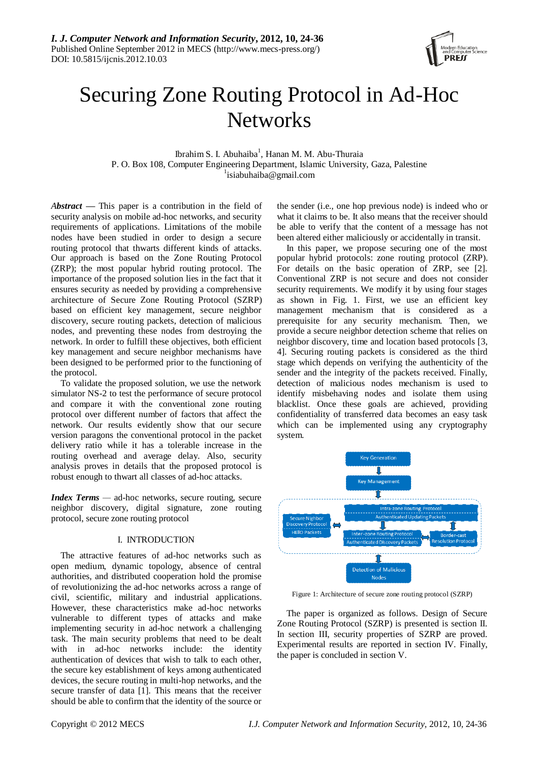

# Securing Zone Routing Protocol in Ad-Hoc **Networks**

Ibrahim S. I. Abuhaiba<sup>1</sup>, Hanan M. M. Abu-Thuraia P. O. Box 108, Computer Engineering Department, Islamic University, Gaza, Palestine <sup>1</sup>isiabuhaiba@gmail.com

*Abstract —* This paper is a contribution in the field of security analysis on mobile ad-hoc networks, and security requirements of applications. Limitations of the mobile nodes have been studied in order to design a secure routing protocol that thwarts different kinds of attacks. Our approach is based on the Zone Routing Protocol (ZRP); the most popular hybrid routing protocol. The importance of the proposed solution lies in the fact that it ensures security as needed by providing a comprehensive architecture of Secure Zone Routing Protocol (SZRP) based on efficient key management, secure neighbor discovery, secure routing packets, detection of malicious nodes, and preventing these nodes from destroying the network. In order to fulfill these objectives, both efficient key management and secure neighbor mechanisms have been designed to be performed prior to the functioning of the protocol.

To validate the proposed solution, we use the network simulator NS-2 to test the performance of secure protocol and compare it with the conventional zone routing protocol over different number of factors that affect the network. Our results evidently show that our secure version paragons the conventional protocol in the packet delivery ratio while it has a tolerable increase in the routing overhead and average delay. Also, security analysis proves in details that the proposed protocol is robust enough to thwart all classes of ad-hoc attacks.

*Index Terms* — ad-hoc networks, secure routing, secure neighbor discovery, digital signature, zone routing protocol, secure zone routing protocol

# I. INTRODUCTION

The attractive features of ad-hoc networks such as open medium, dynamic topology, absence of central authorities, and distributed cooperation hold the promise of revolutionizing the ad-hoc networks across a range of civil, scientific, military and industrial applications. However, these characteristics make ad-hoc networks vulnerable to different types of attacks and make implementing security in ad-hoc network a challenging task. The main security problems that need to be dealt with in ad-hoc networks include: the identity authentication of devices that wish to talk to each other, the secure key establishment of keys among authenticated devices, the secure routing in multi-hop networks, and the secure transfer of data [1]. This means that the receiver should be able to confirm that the identity of the source or

the sender (i.e., one hop previous node) is indeed who or what it claims to be. It also means that the receiver should be able to verify that the content of a message has not been altered either maliciously or accidentally in transit.

In this paper, we propose securing one of the most popular hybrid protocols: zone routing protocol (ZRP). For details on the basic operation of ZRP, see [2]. Conventional ZRP is not secure and does not consider security requirements. We modify it by using four stages as shown in Fig. 1. First, we use an efficient key management mechanism that is considered as a prerequisite for any security mechanism. Then, we provide a secure neighbor detection scheme that relies on neighbor discovery, time and location based protocols [3, 4]. Securing routing packets is considered as the third stage which depends on verifying the authenticity of the sender and the integrity of the packets received. Finally, detection of malicious nodes mechanism is used to identify misbehaving nodes and isolate them using blacklist. Once these goals are achieved, providing confidentiality of transferred data becomes an easy task which can be implemented using any cryptography system.



Figure 1: Architecture of secure zone routing protocol (SZRP)

The paper is organized as follows. Design of Secure Zone Routing Protocol (SZRP) is presented is section II. In section III, security properties of SZRP are proved. Experimental results are reported in section IV. Finally, the paper is concluded in section V.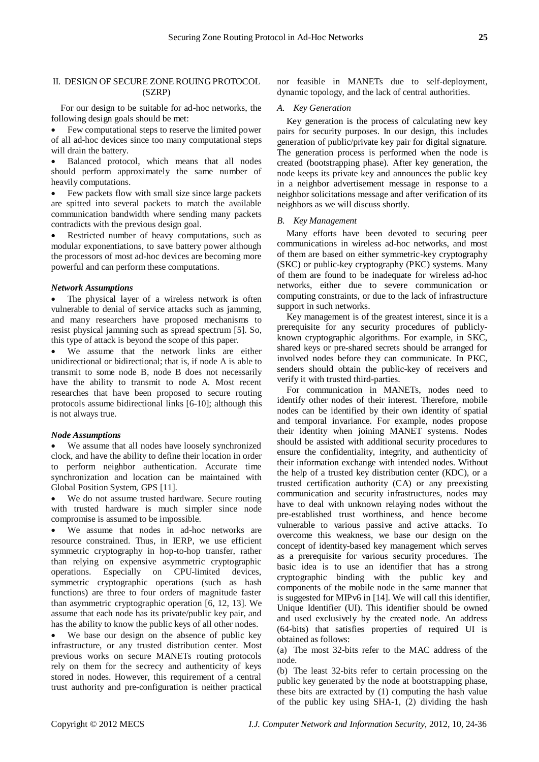# II. DESIGN OF SECURE ZONE ROUING PROTOCOL (SZRP)

For our design to be suitable for ad-hoc networks, the following design goals should be met:

 Few computational steps to reserve the limited power of all ad-hoc devices since too many computational steps will drain the battery.

 Balanced protocol, which means that all nodes should perform approximately the same number of heavily computations.

 Few packets flow with small size since large packets are spitted into several packets to match the available communication bandwidth where sending many packets contradicts with the previous design goal.

 Restricted number of heavy computations, such as modular exponentiations, to save battery power although the processors of most ad-hoc devices are becoming more powerful and can perform these computations.

#### *Network Assumptions*

 The physical layer of a wireless network is often vulnerable to denial of service attacks such as jamming, and many researchers have proposed mechanisms to resist physical jamming such as spread spectrum [5]. So, this type of attack is beyond the scope of this paper.

 We assume that the network links are either unidirectional or bidirectional; that is, if node A is able to transmit to some node B, node B does not necessarily have the ability to transmit to node A. Most recent researches that have been proposed to secure routing protocols assume bidirectional links [6-10]; although this is not always true.

## *Node Assumptions*

 We assume that all nodes have loosely synchronized clock, and have the ability to define their location in order to perform neighbor authentication. Accurate time synchronization and location can be maintained with Global Position System, GPS [11].

 We do not assume trusted hardware. Secure routing with trusted hardware is much simpler since node compromise is assumed to be impossible.

 We assume that nodes in ad-hoc networks are resource constrained. Thus, in IERP, we use efficient symmetric cryptography in hop-to-hop transfer, rather than relying on expensive asymmetric cryptographic operations. Especially on CPU-limited devices, symmetric cryptographic operations (such as hash functions) are three to four orders of magnitude faster than asymmetric cryptographic operation [6, 12, 13]. We assume that each node has its private/public key pair, and has the ability to know the public keys of all other nodes.

 We base our design on the absence of public key infrastructure, or any trusted distribution center. Most previous works on secure MANETs routing protocols rely on them for the secrecy and authenticity of keys stored in nodes. However, this requirement of a central trust authority and pre-configuration is neither practical

nor feasible in MANETs due to self-deployment, dynamic topology, and the lack of central authorities.

#### *A. Key Generation*

Key generation is the process of calculating new key pairs for security purposes. In our design, this includes generation of public/private key pair for digital signature. The generation process is performed when the node is created (bootstrapping phase). After key generation, the node keeps its private key and announces the public key in a neighbor advertisement message in response to a neighbor solicitations message and after verification of its neighbors as we will discuss shortly.

## *B. Key Management*

Many efforts have been devoted to securing peer communications in wireless ad-hoc networks, and most of them are based on either symmetric-key cryptography (SKC) or public-key cryptography (PKC) systems. Many of them are found to be inadequate for wireless ad-hoc networks, either due to severe communication or computing constraints, or due to the lack of infrastructure support in such networks.

Key management is of the greatest interest, since it is a prerequisite for any security procedures of publiclyknown cryptographic algorithms. For example, in SKC, shared keys or pre-shared secrets should be arranged for involved nodes before they can communicate. In PKC, senders should obtain the public-key of receivers and verify it with trusted third-parties.

For communication in MANETs, nodes need to identify other nodes of their interest. Therefore, mobile nodes can be identified by their own identity of spatial and temporal invariance. For example, nodes propose their identity when joining MANET systems. Nodes should be assisted with additional security procedures to ensure the confidentiality, integrity, and authenticity of their information exchange with intended nodes. Without the help of a trusted key distribution center (KDC), or a trusted certification authority (CA) or any preexisting communication and security infrastructures, nodes may have to deal with unknown relaying nodes without the pre-established trust worthiness, and hence become vulnerable to various passive and active attacks. To overcome this weakness, we base our design on the concept of identity-based key management which serves as a prerequisite for various security procedures. The basic idea is to use an identifier that has a strong cryptographic binding with the public key and components of the mobile node in the same manner that is suggested for MIPv6 in [14]. We will call this identifier, Unique Identifier (UI). This identifier should be owned and used exclusively by the created node. An address (64-bits) that satisfies properties of required UI is obtained as follows:

(a) The most 32-bits refer to the MAC address of the node.

(b) The least 32-bits refer to certain processing on the public key generated by the node at bootstrapping phase, these bits are extracted by (1) computing the hash value of the public key using SHA-1, (2) dividing the hash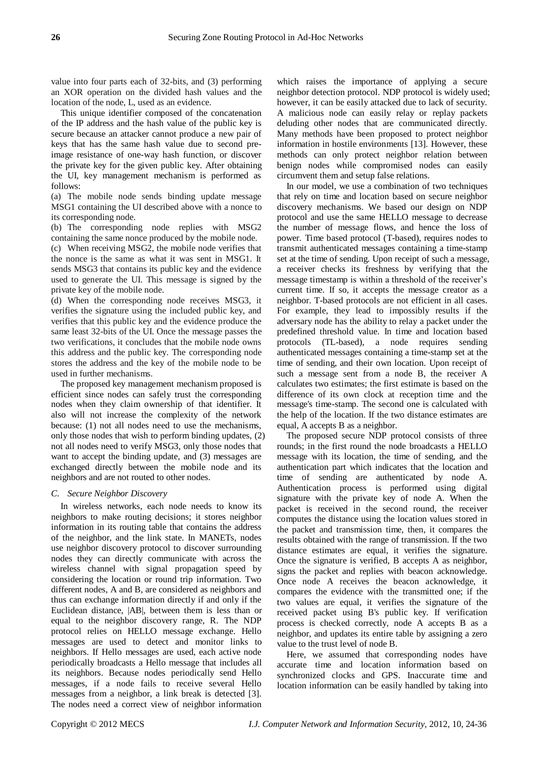value into four parts each of 32-bits, and (3) performing an XOR operation on the divided hash values and the location of the node, L, used as an evidence.

This unique identifier composed of the concatenation of the IP address and the hash value of the public key is secure because an attacker cannot produce a new pair of keys that has the same hash value due to second preimage resistance of one-way hash function, or discover the private key for the given public key. After obtaining the UI, key management mechanism is performed as follows:

(a) The mobile node sends binding update message MSG1 containing the UI described above with a nonce to its corresponding node.

(b) The corresponding node replies with MSG2 containing the same nonce produced by the mobile node.

(c) When receiving MSG2, the mobile node verifies that the nonce is the same as what it was sent in MSG1. It sends MSG3 that contains its public key and the evidence used to generate the UI. This message is signed by the private key of the mobile node.

(d) When the corresponding node receives MSG3, it verifies the signature using the included public key, and verifies that this public key and the evidence produce the same least 32-bits of the UI. Once the message passes the two verifications, it concludes that the mobile node owns this address and the public key. The corresponding node stores the address and the key of the mobile node to be used in further mechanisms.

The proposed key management mechanism proposed is efficient since nodes can safely trust the corresponding nodes when they claim ownership of that identifier. It also will not increase the complexity of the network because: (1) not all nodes need to use the mechanisms, only those nodes that wish to perform binding updates, (2) not all nodes need to verify MSG3, only those nodes that want to accept the binding update, and (3) messages are exchanged directly between the mobile node and its neighbors and are not routed to other nodes.

## *C. Secure Neighbor Discovery*

In wireless networks, each node needs to know its neighbors to make routing decisions; it stores neighbor information in its routing table that contains the address of the neighbor, and the link state. In MANETs, nodes use neighbor discovery protocol to discover surrounding nodes they can directly communicate with across the wireless channel with signal propagation speed by considering the location or round trip information. Two different nodes, A and B, are considered as neighbors and thus can exchange information directly if and only if the Euclidean distance, |AB|, between them is less than or equal to the neighbor discovery range, R. The NDP protocol relies on HELLO message exchange. Hello messages are used to detect and monitor links to neighbors. If Hello messages are used, each active node periodically broadcasts a Hello message that includes all its neighbors. Because nodes periodically send Hello messages, if a node fails to receive several Hello messages from a neighbor, a link break is detected [3]. The nodes need a correct view of neighbor information

which raises the importance of applying a secure neighbor detection protocol. NDP protocol is widely used; however, it can be easily attacked due to lack of security. A malicious node can easily relay or replay packets deluding other nodes that are communicated directly. Many methods have been proposed to protect neighbor information in hostile environments [13]. However, these methods can only protect neighbor relation between benign nodes while compromised nodes can easily circumvent them and setup false relations.

In our model, we use a combination of two techniques that rely on time and location based on secure neighbor discovery mechanisms. We based our design on NDP protocol and use the same HELLO message to decrease the number of message flows, and hence the loss of power. Time based protocol (T-based), requires nodes to transmit authenticated messages containing a time-stamp set at the time of sending. Upon receipt of such a message, a receiver checks its freshness by verifying that the message timestamp is within a threshold of the receiver's current time. If so, it accepts the message creator as a neighbor. T-based protocols are not efficient in all cases. For example, they lead to impossibly results if the adversary node has the ability to relay a packet under the predefined threshold value. In time and location based protocols (TL-based), a node requires sending authenticated messages containing a time-stamp set at the time of sending, and their own location. Upon receipt of such a message sent from a node B, the receiver A calculates two estimates; the first estimate is based on the difference of its own clock at reception time and the message's time-stamp. The second one is calculated with the help of the location. If the two distance estimates are equal, A accepts B as a neighbor.

The proposed secure NDP protocol consists of three rounds; in the first round the node broadcasts a HELLO message with its location, the time of sending, and the authentication part which indicates that the location and time of sending are authenticated by node A. Authentication process is performed using digital signature with the private key of node A. When the packet is received in the second round, the receiver computes the distance using the location values stored in the packet and transmission time, then, it compares the results obtained with the range of transmission. If the two distance estimates are equal, it verifies the signature. Once the signature is verified, B accepts A as neighbor, signs the packet and replies with beacon acknowledge. Once node A receives the beacon acknowledge, it compares the evidence with the transmitted one; if the two values are equal, it verifies the signature of the received packet using B's public key. If verification process is checked correctly, node A accepts B as a neighbor, and updates its entire table by assigning a zero value to the trust level of node B.

Here, we assumed that corresponding nodes have accurate time and location information based on synchronized clocks and GPS. Inaccurate time and location information can be easily handled by taking into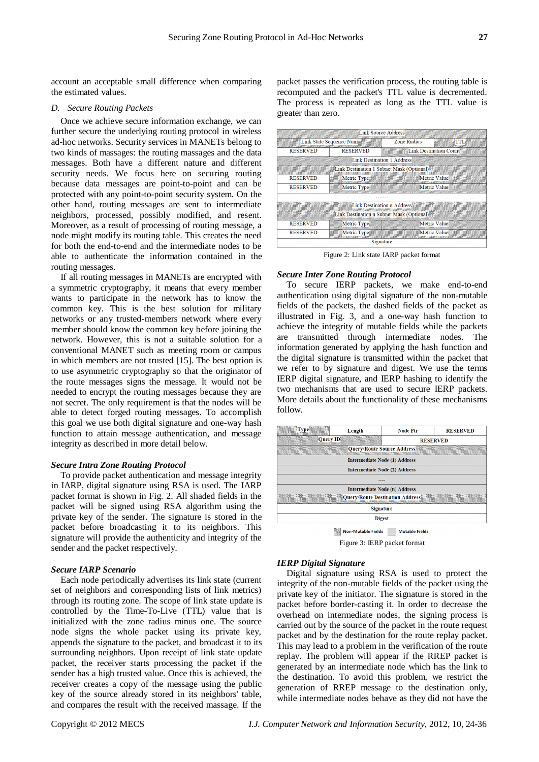account an acceptable small difference when comparing the estimated values.

#### *D. Secure Routing Packets*

Once we achieve secure information exchange, we can further secure the underlying routing protocol in wireless ad-hoc networks. Security services in MANETs belong to two kinds of massages: the routing massages and the data messages. Both have a different nature and different security needs. We focus here on securing routing because data messages are point-to-point and can be protected with any point-to-point security system. On the other hand, routing messages are sent to intermediate neighbors, processed, possibly modified, and resent. Moreover, as a result of processing of routing message, a node might modify its routing table. This creates the need for both the end-to-end and the intermediate nodes to be able to authenticate the information contained in the routing messages.

If all routing messages in MANETs are encrypted with a symmetric cryptography, it means that every member wants to participate in the network has to know the common key. This is the best solution for military networks or any trusted-members network where every member should know the common key before joining the network. However, this is not a suitable solution for a conventional MANET such as meeting room or campus in which members are not trusted [15]. The best option is to use asymmetric cryptography so that the originator of the route messages signs the message. It would not be needed to encrypt the routing messages because they are not secret. The only requirement is that the nodes will be able to detect forged routing messages. To accomplish this goal we use both digital signature and one-way hash function to attain message authentication, and message integrity as described in more detail below.

#### *Secure Intra Zone Routing Protocol*

To provide packet authentication and message integrity in IARP, digital signature using RSA is used. The IARP packet format is shown in Fig. 2. All shaded fields in the packet will be signed using RSA algorithm using the private key of the sender. The signature is stored in the packet before broadcasting it to its neighbors. This signature will provide the authenticity and integrity of the sender and the packet respectively.

# *Secure IARP Scenario*

Each node periodically advertises its link state (current set of neighbors and corresponding lists of link metrics) through its routing zone. The scope of link state update is controlled by the Time-To-Live (TTL) value that is initialized with the zone radius minus one. The source node signs the whole packet using its private key, appends the signature to the packet, and broadcast it to its surrounding neighbors. Upon receipt of link state update packet, the receiver starts processing the packet if the sender has a high trusted value. Once this is achieved, the receiver creates a copy of the message using the public key of the source already stored in its neighbors' table, and compares the result with the received massage. If the

packet passes the verification process, the routing table is recomputed and the packet's TTL value is decremented. The process is repeated as long as the TTL value is greater than zero.

| ∐ink Source Address                       |                 |                    |                        |  |
|-------------------------------------------|-----------------|--------------------|------------------------|--|
| Link State Sequence Num                   |                 | <b>Zone Radius</b> | TТ                     |  |
| <b>RESERVED</b>                           | <b>RESERVED</b> |                    | Link Destination Count |  |
| Link Destination 1 Address                |                 |                    |                        |  |
| Link Destination 1 Subnet Mask (Optional) |                 |                    |                        |  |
| <b>RESERVED</b>                           | Metric Type     |                    | Metric Value           |  |
| <b>RESERVED</b>                           | Metric Type     |                    | <b>Metric Value</b>    |  |
|                                           |                 |                    |                        |  |
| Link Destination n Address                |                 |                    |                        |  |
| Link Destination n Subnet Mask (Optional) |                 |                    |                        |  |
| <b>RESERVED</b>                           | Metric Type     |                    | Metric Value           |  |
| <b>RESERVED</b>                           | Metric Type     |                    | <b>Metric Value</b>    |  |
| Signature                                 |                 |                    |                        |  |

Figure 2: Link state IARP packet format

#### *Secure Inter Zone Routing Protocol*

To secure IERP packets, we make end-to-end authentication using digital signature of the non-mutable fields of the packets, the dashed fields of the packet as illustrated in Fig. 3, and a one-way hash function to achieve the integrity of mutable fields while the packets are transmitted through intermediate nodes. The information generated by applying the hash function and the digital signature is transmitted within the packet that we refer to by signature and digest. We use the terms IERP digital signature, and IERP hashing to identify the two mechanisms that are used to secure IERP packets. More details about the functionality of these mechanisms follow.



Figure 3: IERP packet format

#### *IERP Digital Signature*

Digital signature using RSA is used to protect the integrity of the non-mutable fields of the packet using the private key of the initiator. The signature is stored in the packet before border-casting it. In order to decrease the overhead on intermediate nodes, the signing process is carried out by the source of the packet in the route request packet and by the destination for the route replay packet. This may lead to a problem in the verification of the route replay. The problem will appear if the RREP packet is generated by an intermediate node which has the link to the destination. To avoid this problem, we restrict the generation of RREP message to the destination only, while intermediate nodes behave as they did not have the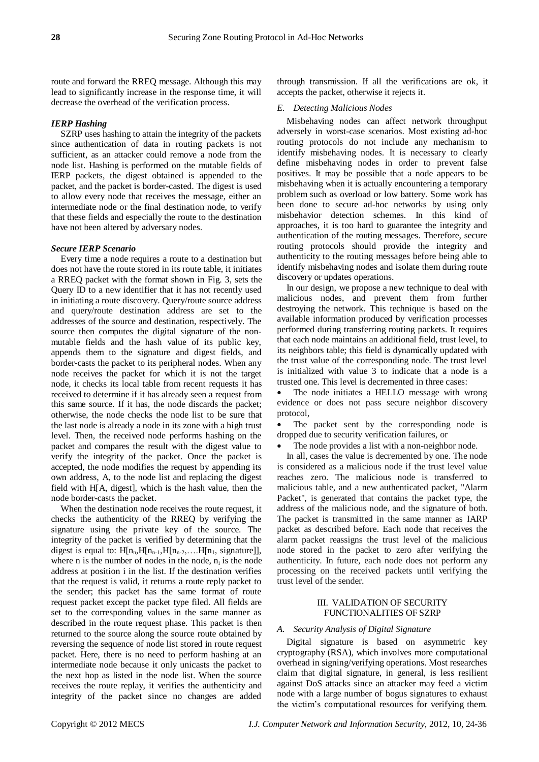route and forward the RREQ message. Although this may lead to significantly increase in the response time, it will decrease the overhead of the verification process.

# *IERP Hashing*

SZRP uses hashing to attain the integrity of the packets since authentication of data in routing packets is not sufficient, as an attacker could remove a node from the node list. Hashing is performed on the mutable fields of IERP packets, the digest obtained is appended to the packet, and the packet is border-casted. The digest is used to allow every node that receives the message, either an intermediate node or the final destination node, to verify that these fields and especially the route to the destination have not been altered by adversary nodes.

## *Secure IERP Scenario*

Every time a node requires a route to a destination but does not have the route stored in its route table, it initiates a RREQ packet with the format shown in Fig. 3, sets the Query ID to a new identifier that it has not recently used in initiating a route discovery. Query/route source address and query/route destination address are set to the addresses of the source and destination, respectively. The source then computes the digital signature of the nonmutable fields and the hash value of its public key, appends them to the signature and digest fields, and border-casts the packet to its peripheral nodes. When any node receives the packet for which it is not the target node, it checks its local table from recent requests it has received to determine if it has already seen a request from this same source. If it has, the node discards the packet; otherwise, the node checks the node list to be sure that the last node is already a node in its zone with a high trust level. Then, the received node performs hashing on the packet and compares the result with the digest value to verify the integrity of the packet. Once the packet is accepted, the node modifies the request by appending its own address, A, to the node list and replacing the digest field with H[A, digest], which is the hash value, then the node border-casts the packet.

When the destination node receives the route request, it checks the authenticity of the RREQ by verifying the signature using the private key of the source. The integrity of the packet is verified by determining that the digest is equal to:  $H[n_n,H[n_{n-1},H[n_{n-2},...,H[n_1,$  signature]], where n is the number of nodes in the node,  $n_i$  is the node address at position i in the list. If the destination verifies that the request is valid, it returns a route reply packet to the sender; this packet has the same format of route request packet except the packet type filed. All fields are set to the corresponding values in the same manner as described in the route request phase. This packet is then returned to the source along the source route obtained by reversing the sequence of node list stored in route request packet. Here, there is no need to perform hashing at an intermediate node because it only unicasts the packet to the next hop as listed in the node list. When the source receives the route replay, it verifies the authenticity and integrity of the packet since no changes are added

through transmission. If all the verifications are ok, it accepts the packet, otherwise it rejects it.

#### *E. Detecting Malicious Nodes*

Misbehaving nodes can affect network throughput adversely in worst-case scenarios. Most existing ad-hoc routing protocols do not include any mechanism to identify misbehaving nodes. It is necessary to clearly define misbehaving nodes in order to prevent false positives. It may be possible that a node appears to be misbehaving when it is actually encountering a temporary problem such as overload or low battery. Some work has been done to secure ad-hoc networks by using only misbehavior detection schemes. In this kind of approaches, it is too hard to guarantee the integrity and authentication of the routing messages. Therefore, secure routing protocols should provide the integrity and authenticity to the routing messages before being able to identify misbehaving nodes and isolate them during route discovery or updates operations.

In our design, we propose a new technique to deal with malicious nodes, and prevent them from further destroying the network. This technique is based on the available information produced by verification processes performed during transferring routing packets. It requires that each node maintains an additional field, trust level, to its neighbors table; this field is dynamically updated with the trust value of the corresponding node. The trust level is initialized with value 3 to indicate that a node is a trusted one. This level is decremented in three cases:

 The node initiates a HELLO message with wrong evidence or does not pass secure neighbor discovery protocol,

 The packet sent by the corresponding node is dropped due to security verification failures, or

The node provides a list with a non-neighbor node.

In all, cases the value is decremented by one. The node is considered as a malicious node if the trust level value reaches zero. The malicious node is transferred to malicious table, and a new authenticated packet, "Alarm Packet", is generated that contains the packet type, the address of the malicious node, and the signature of both. The packet is transmitted in the same manner as IARP packet as described before. Each node that receives the alarm packet reassigns the trust level of the malicious node stored in the packet to zero after verifying the authenticity. In future, each node does not perform any processing on the received packets until verifying the trust level of the sender.

# III. VALIDATION OF SECURITY FUNCTIONALITIES OF SZRP

## *A. Security Analysis of Digital Signature*

Digital signature is based on asymmetric key cryptography (RSA), which involves more computational overhead in signing/verifying operations. Most researches claim that digital signature, in general, is less resilient against DoS attacks since an attacker may feed a victim node with a large number of bogus signatures to exhaust the victim's computational resources for verifying them.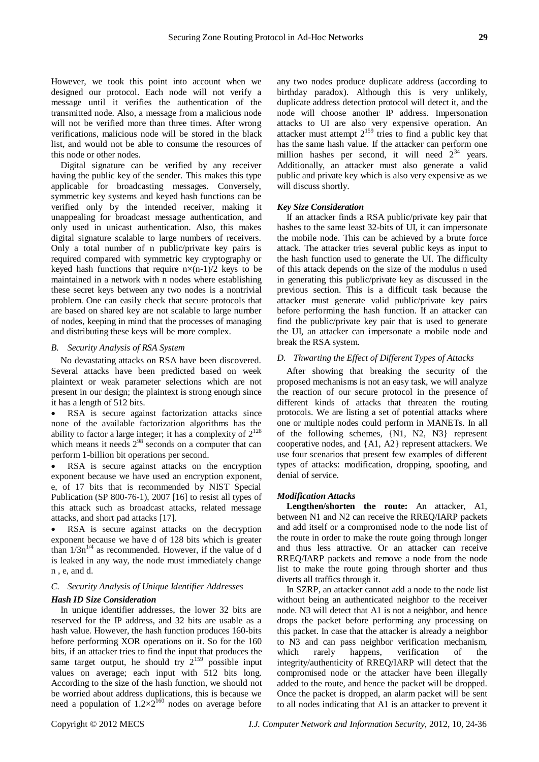However, we took this point into account when we designed our protocol. Each node will not verify a message until it verifies the authentication of the transmitted node. Also, a message from a malicious node will not be verified more than three times. After wrong verifications, malicious node will be stored in the black list, and would not be able to consume the resources of this node or other nodes.

Digital signature can be verified by any receiver having the public key of the sender. This makes this type applicable for broadcasting messages. Conversely, symmetric key systems and keyed hash functions can be verified only by the intended receiver, making it unappealing for broadcast message authentication, and only used in unicast authentication. Also, this makes digital signature scalable to large numbers of receivers. Only a total number of n public/private key pairs is required compared with symmetric key cryptography or keyed hash functions that require  $n \times (n-1)/2$  keys to be maintained in a network with n nodes where establishing these secret keys between any two nodes is a nontrivial problem. One can easily check that secure protocols that are based on shared key are not scalable to large number of nodes, keeping in mind that the processes of managing and distributing these keys will be more complex.

#### *B. Security Analysis of RSA System*

No devastating attacks on RSA have been discovered. Several attacks have been predicted based on week plaintext or weak parameter selections which are not present in our design; the plaintext is strong enough since it has a length of 512 bits.

 RSA is secure against factorization attacks since none of the available factorization algorithms has the ability to factor a large integer; it has a complexity of  $2^{128}$ which means it needs  $2^{98}$  seconds on a computer that can perform 1-billion bit operations per second.

 RSA is secure against attacks on the encryption exponent because we have used an encryption exponent, e, of 17 bits that is recommended by NIST Special Publication (SP 800-76-1), 2007 [16] to resist all types of this attack such as broadcast attacks, related message attacks, and short pad attacks [17].

 RSA is secure against attacks on the decryption exponent because we have d of 128 bits which is greater than  $1/3n^{1/4}$  as recommended. However, if the value of d is leaked in any way, the node must immediately change n , e, and d.

#### *C. Security Analysis of Unique Identifier Addresses*

#### *Hash ID Size Consideration*

In unique identifier addresses, the lower 32 bits are reserved for the IP address, and 32 bits are usable as a hash value. However, the hash function produces 160-bits before performing XOR operations on it. So for the 160 bits, if an attacker tries to find the input that produces the same target output, he should try  $2^{159}$  possible input values on average; each input with 512 bits long. According to the size of the hash function, we should not be worried about address duplications, this is because we need a population of  $1.2 \times 2^{160}$  nodes on average before

any two nodes produce duplicate address (according to birthday paradox). Although this is very unlikely, duplicate address detection protocol will detect it, and the node will choose another IP address. Impersonation attacks to UI are also very expensive operation. An attacker must attempt  $2^{159}$  tries to find a public key that has the same hash value. If the attacker can perform one million hashes per second, it will need  $2^{34}$  years. Additionally, an attacker must also generate a valid public and private key which is also very expensive as we will discuss shortly.

#### *Key Size Consideration*

If an attacker finds a RSA public/private key pair that hashes to the same least 32-bits of UI, it can impersonate the mobile node. This can be achieved by a brute force attack. The attacker tries several public keys as input to the hash function used to generate the UI. The difficulty of this attack depends on the size of the modulus n used in generating this public/private key as discussed in the previous section. This is a difficult task because the attacker must generate valid public/private key pairs before performing the hash function. If an attacker can find the public/private key pair that is used to generate the UI, an attacker can impersonate a mobile node and break the RSA system.

## *D. Thwarting the Effect of Different Types of Attacks*

After showing that breaking the security of the proposed mechanisms is not an easy task, we will analyze the reaction of our secure protocol in the presence of different kinds of attacks that threaten the routing protocols. We are listing a set of potential attacks where one or multiple nodes could perform in MANETs. In all of the following schemes, {N1, N2, N3} represent cooperative nodes, and {A1, A2} represent attackers. We use four scenarios that present few examples of different types of attacks: modification, dropping, spoofing, and denial of service.

#### *Modification Attacks*

**Lengthen/shorten the route:** An attacker, A1, between N1 and N2 can receive the RREQ/IARP packets and add itself or a compromised node to the node list of the route in order to make the route going through longer and thus less attractive. Or an attacker can receive RREQ/IARP packets and remove a node from the node list to make the route going through shorter and thus diverts all traffics through it.

In SZRP, an attacker cannot add a node to the node list without being an authenticated neighbor to the receiver node. N3 will detect that A1 is not a neighbor, and hence drops the packet before performing any processing on this packet. In case that the attacker is already a neighbor to N3 and can pass neighbor verification mechanism, which rarely happens, verification of the integrity/authenticity of RREQ/IARP will detect that the compromised node or the attacker have been illegally added to the route, and hence the packet will be dropped. Once the packet is dropped, an alarm packet will be sent to all nodes indicating that A1 is an attacker to prevent it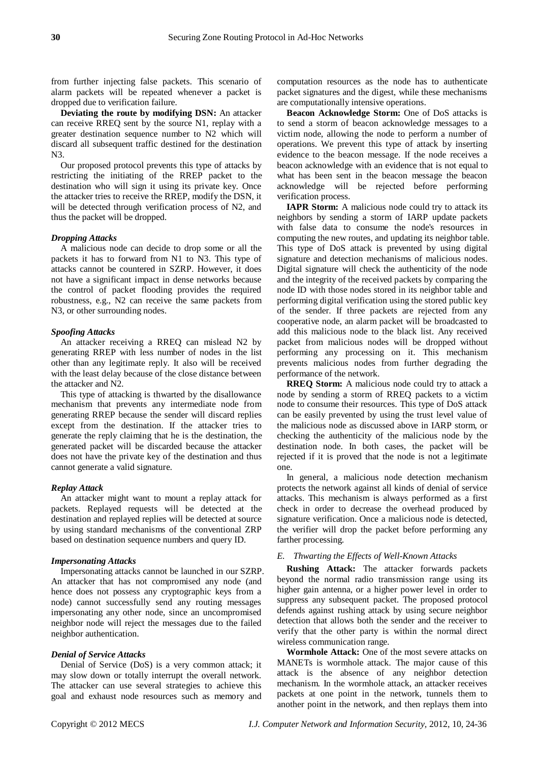from further injecting false packets. This scenario of alarm packets will be repeated whenever a packet is dropped due to verification failure.

**Deviating the route by modifying DSN:** An attacker can receive RREQ sent by the source N1, replay with a greater destination sequence number to N2 which will discard all subsequent traffic destined for the destination N3.

Our proposed protocol prevents this type of attacks by restricting the initiating of the RREP packet to the destination who will sign it using its private key. Once the attacker tries to receive the RREP, modify the DSN, it will be detected through verification process of N2, and thus the packet will be dropped.

## *Dropping Attacks*

A malicious node can decide to drop some or all the packets it has to forward from N1 to N3. This type of attacks cannot be countered in SZRP. However, it does not have a significant impact in dense networks because the control of packet flooding provides the required robustness, e.g., N2 can receive the same packets from N3, or other surrounding nodes.

## *Spoofing Attacks*

An attacker receiving a RREQ can mislead N2 by generating RREP with less number of nodes in the list other than any legitimate reply. It also will be received with the least delay because of the close distance between the attacker and N2.

This type of attacking is thwarted by the disallowance mechanism that prevents any intermediate node from generating RREP because the sender will discard replies except from the destination. If the attacker tries to generate the reply claiming that he is the destination, the generated packet will be discarded because the attacker does not have the private key of the destination and thus cannot generate a valid signature.

#### *Replay Attack*

An attacker might want to mount a replay attack for packets. Replayed requests will be detected at the destination and replayed replies will be detected at source by using standard mechanisms of the conventional ZRP based on destination sequence numbers and query ID.

## *Impersonating Attacks*

Impersonating attacks cannot be launched in our SZRP. An attacker that has not compromised any node (and hence does not possess any cryptographic keys from a node) cannot successfully send any routing messages impersonating any other node, since an uncompromised neighbor node will reject the messages due to the failed neighbor authentication.

#### *Denial of Service Attacks*

Denial of Service (DoS) is a very common attack; it may slow down or totally interrupt the overall network. The attacker can use several strategies to achieve this goal and exhaust node resources such as memory and

computation resources as the node has to authenticate packet signatures and the digest, while these mechanisms are computationally intensive operations.

**Beacon Acknowledge Storm:** One of DoS attacks is to send a storm of beacon acknowledge messages to a victim node, allowing the node to perform a number of operations. We prevent this type of attack by inserting evidence to the beacon message. If the node receives a beacon acknowledge with an evidence that is not equal to what has been sent in the beacon message the beacon acknowledge will be rejected before performing verification process.

**IAPR Storm:** A malicious node could try to attack its neighbors by sending a storm of IARP update packets with false data to consume the node's resources in computing the new routes, and updating its neighbor table. This type of DoS attack is prevented by using digital signature and detection mechanisms of malicious nodes. Digital signature will check the authenticity of the node and the integrity of the received packets by comparing the node ID with those nodes stored in its neighbor table and performing digital verification using the stored public key of the sender. If three packets are rejected from any cooperative node, an alarm packet will be broadcasted to add this malicious node to the black list. Any received packet from malicious nodes will be dropped without performing any processing on it. This mechanism prevents malicious nodes from further degrading the performance of the network.

**RREQ Storm:** A malicious node could try to attack a node by sending a storm of RREQ packets to a victim node to consume their resources. This type of DoS attack can be easily prevented by using the trust level value of the malicious node as discussed above in IARP storm, or checking the authenticity of the malicious node by the destination node. In both cases, the packet will be rejected if it is proved that the node is not a legitimate one.

In general, a malicious node detection mechanism protects the network against all kinds of denial of service attacks. This mechanism is always performed as a first check in order to decrease the overhead produced by signature verification. Once a malicious node is detected, the verifier will drop the packet before performing any farther processing.

#### *E. Thwarting the Effects of Well-Known Attacks*

**Rushing Attack:** The attacker forwards packets beyond the normal radio transmission range using its higher gain antenna, or a higher power level in order to suppress any subsequent packet. The proposed protocol defends against rushing attack by using secure neighbor detection that allows both the sender and the receiver to verify that the other party is within the normal direct wireless communication range.

**Wormhole Attack:** One of the most severe attacks on MANETs is wormhole attack. The major cause of this attack is the absence of any neighbor detection mechanism. In the wormhole attack, an attacker receives packets at one point in the network, tunnels them to another point in the network, and then replays them into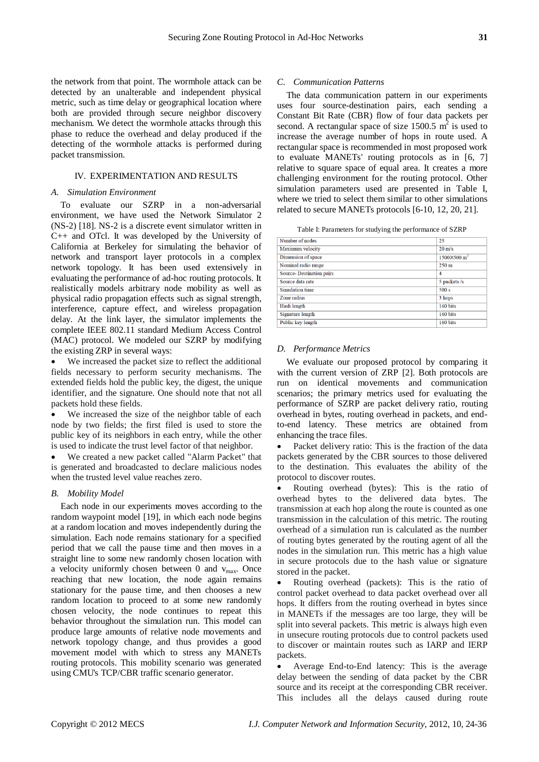the network from that point. The wormhole attack can be detected by an unalterable and independent physical metric, such as time delay or geographical location where both are provided through secure neighbor discovery mechanism. We detect the wormhole attacks through this phase to reduce the overhead and delay produced if the detecting of the wormhole attacks is performed during packet transmission.

## IV. EXPERIMENTATION AND RESULTS

## *A. Simulation Environment*

To evaluate our SZRP in a non-adversarial environment, we have used the Network Simulator 2 (NS-2) [18]. NS-2 is a discrete event simulator written in C++ and OTcl. It was developed by the University of California at Berkeley for simulating the behavior of network and transport layer protocols in a complex network topology. It has been used extensively in evaluating the performance of ad-hoc routing protocols. It realistically models arbitrary node mobility as well as physical radio propagation effects such as signal strength, interference, capture effect, and wireless propagation delay. At the link layer, the simulator implements the complete IEEE 802.11 standard Medium Access Control (MAC) protocol. We modeled our SZRP by modifying the existing ZRP in several ways:

 We increased the packet size to reflect the additional fields necessary to perform security mechanisms. The extended fields hold the public key, the digest, the unique identifier, and the signature. One should note that not all packets hold these fields.

 We increased the size of the neighbor table of each node by two fields; the first filed is used to store the public key of its neighbors in each entry, while the other is used to indicate the trust level factor of that neighbor.

 We created a new packet called "Alarm Packet" that is generated and broadcasted to declare malicious nodes when the trusted level value reaches zero.

## *B. Mobility Model*

Each node in our experiments moves according to the random waypoint model [19], in which each node begins at a random location and moves independently during the simulation. Each node remains stationary for a specified period that we call the pause time and then moves in a straight line to some new randomly chosen location with a velocity uniformly chosen between 0 and  $v_{\text{max}}$ . Once reaching that new location, the node again remains stationary for the pause time, and then chooses a new random location to proceed to at some new randomly chosen velocity, the node continues to repeat this behavior throughout the simulation run. This model can produce large amounts of relative node movements and network topology change, and thus provides a good movement model with which to stress any MANETs routing protocols. This mobility scenario was generated using CMU's TCP/CBR traffic scenario generator.

## *C. Communication Patterns*

The data communication pattern in our experiments uses four source-destination pairs, each sending a Constant Bit Rate (CBR) flow of four data packets per second. A rectangular space of size  $1500.5 \text{ m}^2$  is used to increase the average number of hops in route used. A rectangular space is recommended in most proposed work to evaluate MANETs' routing protocols as in [6, 7] relative to square space of equal area. It creates a more challenging environment for the routing protocol. Other simulation parameters used are presented in Table I, where we tried to select them similar to other simulations related to secure MANETs protocols [6-10, 12, 20, 21].

Table I: Parameters for studying the performance of SZRP

| Number of nodes                 | 25                             |
|---------------------------------|--------------------------------|
| <b>Maximum</b> velocity         | $20 \text{ m/s}$               |
| Dimension of space              | $1500\times500$ m <sup>2</sup> |
| Nominal radio range             | $250 \text{ m}$                |
| <b>Source-Destination pairs</b> | 4                              |
| Source data rate                | 5 packets /s                   |
| Simulation time                 | 500 s                          |
| Zone radius                     | 3 hops                         |
| Hash length                     | 160 bits                       |
| Signature length                | 160 bits                       |
| Public key length               | 160 bits                       |

#### *D. Performance Metrics*

We evaluate our proposed protocol by comparing it with the current version of ZRP [2]. Both protocols are run on identical movements and communication scenarios; the primary metrics used for evaluating the performance of SZRP are packet delivery ratio, routing overhead in bytes, routing overhead in packets, and endto-end latency. These metrics are obtained from enhancing the trace files.

 Packet delivery ratio: This is the fraction of the data packets generated by the CBR sources to those delivered to the destination. This evaluates the ability of the protocol to discover routes.

 Routing overhead (bytes): This is the ratio of overhead bytes to the delivered data bytes. The transmission at each hop along the route is counted as one transmission in the calculation of this metric. The routing overhead of a simulation run is calculated as the number of routing bytes generated by the routing agent of all the nodes in the simulation run. This metric has a high value in secure protocols due to the hash value or signature stored in the packet.

 Routing overhead (packets): This is the ratio of control packet overhead to data packet overhead over all hops. It differs from the routing overhead in bytes since in MANETs if the messages are too large, they will be split into several packets. This metric is always high even in unsecure routing protocols due to control packets used to discover or maintain routes such as IARP and IERP packets.

 Average End-to-End latency: This is the average delay between the sending of data packet by the CBR source and its receipt at the corresponding CBR receiver. This includes all the delays caused during route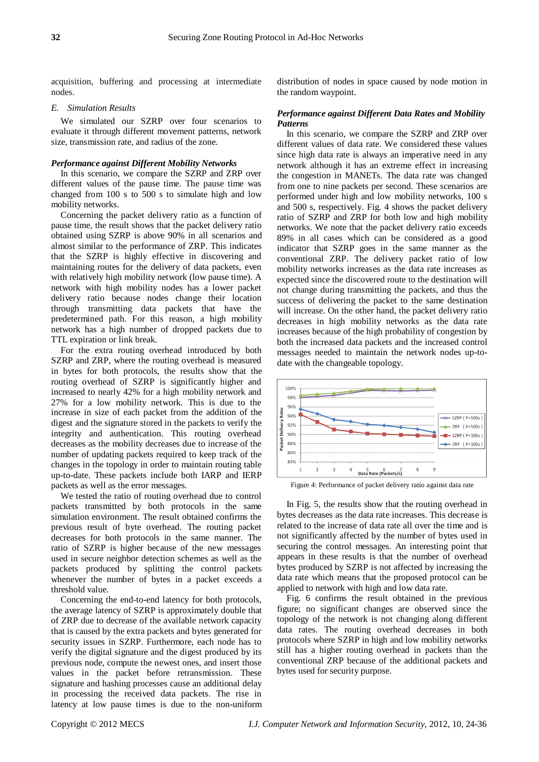acquisition, buffering and processing at intermediate nodes.

#### *E. Simulation Results*

We simulated our SZRP over four scenarios to evaluate it through different movement patterns, network size, transmission rate, and radius of the zone.

## *Performance against Different Mobility Networks*

In this scenario, we compare the SZRP and ZRP over different values of the pause time. The pause time was changed from 100 s to 500 s to simulate high and low mobility networks.

Concerning the packet delivery ratio as a function of pause time, the result shows that the packet delivery ratio obtained using SZRP is above 90% in all scenarios and almost similar to the performance of ZRP. This indicates that the SZRP is highly effective in discovering and maintaining routes for the delivery of data packets, even with relatively high mobility network (low pause time). A network with high mobility nodes has a lower packet delivery ratio because nodes change their location through transmitting data packets that have the predetermined path. For this reason, a high mobility network has a high number of dropped packets due to TTL expiration or link break.

For the extra routing overhead introduced by both SZRP and ZRP, where the routing overhead is measured in bytes for both protocols, the results show that the routing overhead of SZRP is significantly higher and increased to nearly 42% for a high mobility network and 27% for a low mobility network. This is due to the increase in size of each packet from the addition of the digest and the signature stored in the packets to verify the integrity and authentication. This routing overhead decreases as the mobility decreases due to increase of the number of updating packets required to keep track of the changes in the topology in order to maintain routing table up-to-date. These packets include both IARP and IERP packets as well as the error messages.

We tested the ratio of routing overhead due to control packets transmitted by both protocols in the same simulation environment. The result obtained confirms the previous result of byte overhead. The routing packet decreases for both protocols in the same manner. The ratio of SZRP is higher because of the new messages used in secure neighbor detection schemes as well as the packets produced by splitting the control packets whenever the number of bytes in a packet exceeds a threshold value.

Concerning the end-to-end latency for both protocols, the average latency of SZRP is approximately double that of ZRP due to decrease of the available network capacity that is caused by the extra packets and bytes generated for security issues in SZRP. Furthermore, each node has to verify the digital signature and the digest produced by its previous node, compute the newest ones, and insert those values in the packet before retransmission. These signature and hashing processes cause an additional delay in processing the received data packets. The rise in latency at low pause times is due to the non-uniform distribution of nodes in space caused by node motion in the random waypoint.

# *Performance against Different Data Rates and Mobility Patterns*

In this scenario, we compare the SZRP and ZRP over different values of data rate. We considered these values since high data rate is always an imperative need in any network although it has an extreme effect in increasing the congestion in MANETs. The data rate was changed from one to nine packets per second. These scenarios are performed under high and low mobility networks, 100 s and 500 s, respectively. Fig. 4 shows the packet delivery ratio of SZRP and ZRP for both low and high mobility networks. We note that the packet delivery ratio exceeds 89% in all cases which can be considered as a good indicator that SZRP goes in the same manner as the conventional ZRP. The delivery packet ratio of low mobility networks increases as the data rate increases as expected since the discovered route to the destination will not change during transmitting the packets, and thus the success of delivering the packet to the same destination will increase. On the other hand, the packet delivery ratio decreases in high mobility networks as the data rate increases because of the high probability of congestion by both the increased data packets and the increased control messages needed to maintain the network nodes up-todate with the changeable topology.



Figure 4: Performance of packet delivery ratio against data rate

In Fig. 5, the results show that the routing overhead in bytes decreases as the data rate increases. This decrease is related to the increase of data rate all over the time and is not significantly affected by the number of bytes used in securing the control messages. An interesting point that appears in these results is that the number of overhead bytes produced by SZRP is not affected by increasing the data rate which means that the proposed protocol can be applied to network with high and low data rate.

Fig. 6 confirms the result obtained in the previous figure; no significant changes are observed since the topology of the network is not changing along different data rates. The routing overhead decreases in both protocols where SZRP in high and low mobility networks still has a higher routing overhead in packets than the conventional ZRP because of the additional packets and bytes used for security purpose.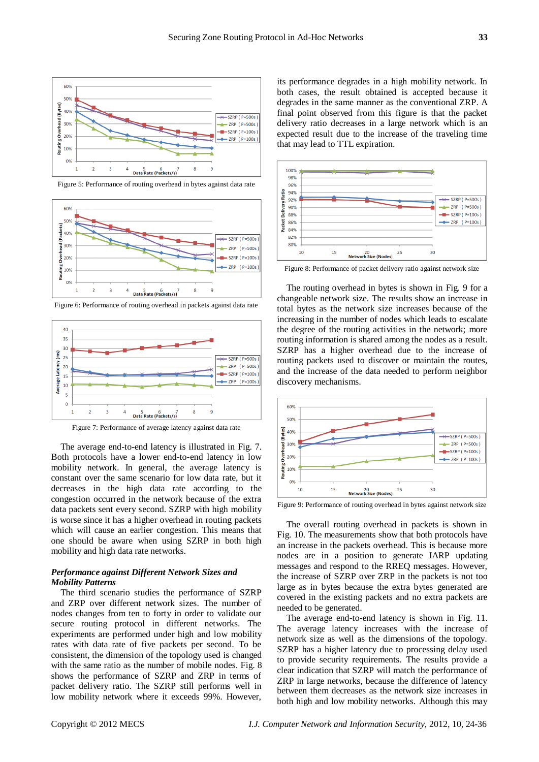

Figure 5: Performance of routing overhead in bytes against data rate



Figure 6: Performance of routing overhead in packets against data rate



Figure 7: Performance of average latency against data rate

The average end-to-end latency is illustrated in Fig. 7. Both protocols have a lower end-to-end latency in low mobility network. In general, the average latency is constant over the same scenario for low data rate, but it decreases in the high data rate according to the congestion occurred in the network because of the extra data packets sent every second. SZRP with high mobility is worse since it has a higher overhead in routing packets which will cause an earlier congestion. This means that one should be aware when using SZRP in both high mobility and high data rate networks.

# *Performance against Different Network Sizes and Mobility Patterns*

The third scenario studies the performance of SZRP and ZRP over different network sizes. The number of nodes changes from ten to forty in order to validate our secure routing protocol in different networks. The experiments are performed under high and low mobility rates with data rate of five packets per second. To be consistent, the dimension of the topology used is changed with the same ratio as the number of mobile nodes. Fig. 8 shows the performance of SZRP and ZRP in terms of packet delivery ratio. The SZRP still performs well in low mobility network where it exceeds 99%. However,

its performance degrades in a high mobility network. In both cases, the result obtained is accepted because it degrades in the same manner as the conventional ZRP. A final point observed from this figure is that the packet delivery ratio decreases in a large network which is an expected result due to the increase of the traveling time that may lead to TTL expiration.



Figure 8: Performance of packet delivery ratio against network size

The routing overhead in bytes is shown in Fig. 9 for a changeable network size. The results show an increase in total bytes as the network size increases because of the increasing in the number of nodes which leads to escalate the degree of the routing activities in the network; more routing information is shared among the nodes as a result. SZRP has a higher overhead due to the increase of routing packets used to discover or maintain the routes, and the increase of the data needed to perform neighbor discovery mechanisms.



Figure 9: Performance of routing overhead in bytes against network size

The overall routing overhead in packets is shown in Fig. 10. The measurements show that both protocols have an increase in the packets overhead. This is because more nodes are in a position to generate IARP updating messages and respond to the RREQ messages. However, the increase of SZRP over ZRP in the packets is not too large as in bytes because the extra bytes generated are covered in the existing packets and no extra packets are needed to be generated.

The average end-to-end latency is shown in Fig. 11. The average latency increases with the increase of network size as well as the dimensions of the topology. SZRP has a higher latency due to processing delay used to provide security requirements. The results provide a clear indication that SZRP will match the performance of ZRP in large networks, because the difference of latency between them decreases as the network size increases in both high and low mobility networks. Although this may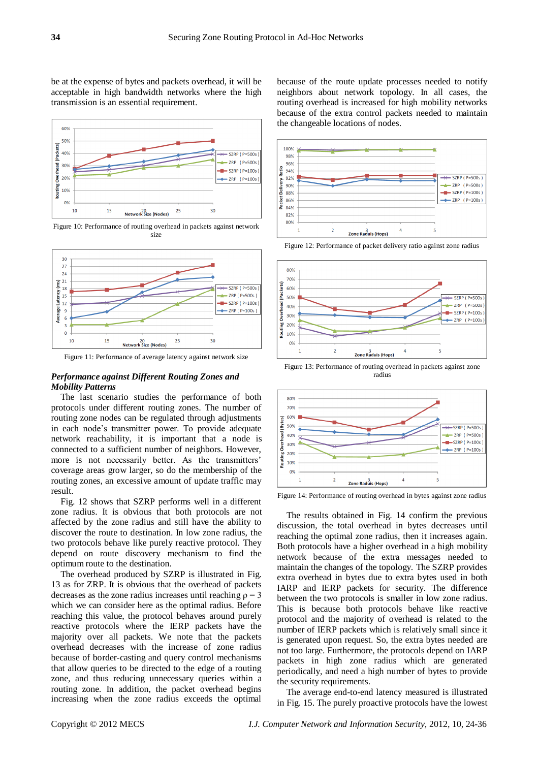be at the expense of bytes and packets overhead, it will be acceptable in high bandwidth networks where the high transmission is an essential requirement.



Figure 10: Performance of routing overhead in packets against network size



Figure 11: Performance of average latency against network size

## *Performance against Different Routing Zones and Mobility Patterns*

The last scenario studies the performance of both protocols under different routing zones. The number of routing zone nodes can be regulated through adjustments in each node's transmitter power. To provide adequate network reachability, it is important that a node is connected to a sufficient number of neighbors. However, more is not necessarily better. As the transmitters' coverage areas grow larger, so do the membership of the routing zones, an excessive amount of update traffic may result.

Fig. 12 shows that SZRP performs well in a different zone radius. It is obvious that both protocols are not affected by the zone radius and still have the ability to discover the route to destination. In low zone radius, the two protocols behave like purely reactive protocol. They depend on route discovery mechanism to find the optimum route to the destination.

The overhead produced by SZRP is illustrated in Fig. 13 as for ZRP. It is obvious that the overhead of packets decreases as the zone radius increases until reaching  $\rho = 3$ which we can consider here as the optimal radius. Before reaching this value, the protocol behaves around purely reactive protocols where the IERP packets have the majority over all packets. We note that the packets overhead decreases with the increase of zone radius because of border-casting and query control mechanisms that allow queries to be directed to the edge of a routing zone, and thus reducing unnecessary queries within a routing zone. In addition, the packet overhead begins increasing when the zone radius exceeds the optimal because of the route update processes needed to notify neighbors about network topology. In all cases, the routing overhead is increased for high mobility networks because of the extra control packets needed to maintain the changeable locations of nodes.



Figure 12: Performance of packet delivery ratio against zone radius



Figure 13: Performance of routing overhead in packets against zone radius



Figure 14: Performance of routing overhead in bytes against zone radius

The results obtained in Fig. 14 confirm the previous discussion, the total overhead in bytes decreases until reaching the optimal zone radius, then it increases again. Both protocols have a higher overhead in a high mobility network because of the extra messages needed to maintain the changes of the topology. The SZRP provides extra overhead in bytes due to extra bytes used in both IARP and IERP packets for security. The difference between the two protocols is smaller in low zone radius. This is because both protocols behave like reactive protocol and the majority of overhead is related to the number of IERP packets which is relatively small since it is generated upon request. So, the extra bytes needed are not too large. Furthermore, the protocols depend on IARP packets in high zone radius which are generated periodically, and need a high number of bytes to provide the security requirements.

The average end-to-end latency measured is illustrated in Fig. 15. The purely proactive protocols have the lowest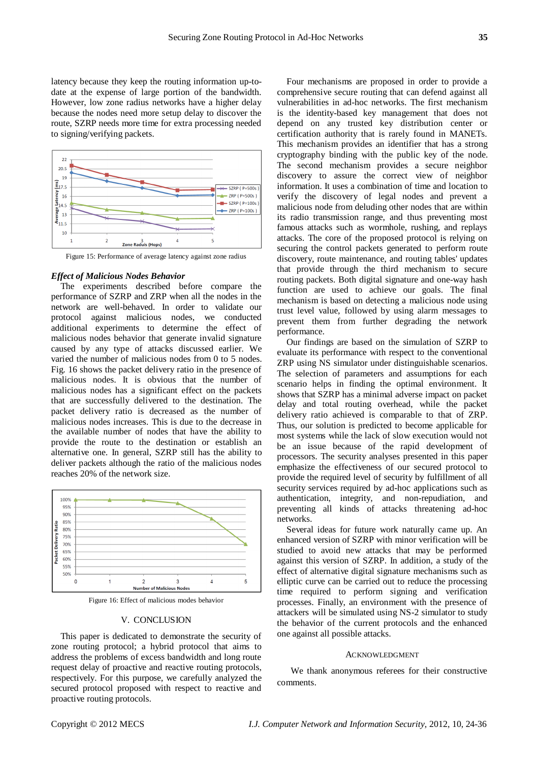latency because they keep the routing information up-todate at the expense of large portion of the bandwidth. However, low zone radius networks have a higher delay because the nodes need more setup delay to discover the route, SZRP needs more time for extra processing needed to signing/verifying packets.



Figure 15: Performance of average latency against zone radius

#### *Effect of Malicious Nodes Behavior*

The experiments described before compare the performance of SZRP and ZRP when all the nodes in the network are well-behaved. In order to validate our protocol against malicious nodes, we conducted additional experiments to determine the effect of malicious nodes behavior that generate invalid signature caused by any type of attacks discussed earlier. We varied the number of malicious nodes from 0 to 5 nodes. Fig. 16 shows the packet delivery ratio in the presence of malicious nodes. It is obvious that the number of malicious nodes has a significant effect on the packets that are successfully delivered to the destination. The packet delivery ratio is decreased as the number of malicious nodes increases. This is due to the decrease in the available number of nodes that have the ability to provide the route to the destination or establish an alternative one. In general, SZRP still has the ability to deliver packets although the ratio of the malicious nodes reaches 20% of the network size.



Figure 16: Effect of malicious modes behavior

# V. CONCLUSION

This paper is dedicated to demonstrate the security of zone routing protocol; a hybrid protocol that aims to address the problems of excess bandwidth and long route request delay of proactive and reactive routing protocols, respectively. For this purpose, we carefully analyzed the secured protocol proposed with respect to reactive and proactive routing protocols.

Four mechanisms are proposed in order to provide a comprehensive secure routing that can defend against all vulnerabilities in ad-hoc networks. The first mechanism is the identity-based key management that does not depend on any trusted key distribution center or certification authority that is rarely found in MANETs. This mechanism provides an identifier that has a strong cryptography binding with the public key of the node. The second mechanism provides a secure neighbor discovery to assure the correct view of neighbor information. It uses a combination of time and location to verify the discovery of legal nodes and prevent a malicious node from deluding other nodes that are within its radio transmission range, and thus preventing most famous attacks such as wormhole, rushing, and replays attacks. The core of the proposed protocol is relying on securing the control packets generated to perform route discovery, route maintenance, and routing tables' updates that provide through the third mechanism to secure routing packets. Both digital signature and one-way hash function are used to achieve our goals. The final mechanism is based on detecting a malicious node using trust level value, followed by using alarm messages to prevent them from further degrading the network performance.

Our findings are based on the simulation of SZRP to evaluate its performance with respect to the conventional ZRP using NS simulator under distinguishable scenarios. The selection of parameters and assumptions for each scenario helps in finding the optimal environment. It shows that SZRP has a minimal adverse impact on packet delay and total routing overhead, while the packet delivery ratio achieved is comparable to that of ZRP. Thus, our solution is predicted to become applicable for most systems while the lack of slow execution would not be an issue because of the rapid development of processors. The security analyses presented in this paper emphasize the effectiveness of our secured protocol to provide the required level of security by fulfillment of all security services required by ad-hoc applications such as authentication, integrity, and non-repudiation, and preventing all kinds of attacks threatening ad-hoc networks.

Several ideas for future work naturally came up. An enhanced version of SZRP with minor verification will be studied to avoid new attacks that may be performed against this version of SZRP. In addition, a study of the effect of alternative digital signature mechanisms such as elliptic curve can be carried out to reduce the processing time required to perform signing and verification processes. Finally, an environment with the presence of attackers will be simulated using NS-2 simulator to study the behavior of the current protocols and the enhanced one against all possible attacks.

#### ACKNOWLEDGMENT

We thank anonymous referees for their constructive comments.